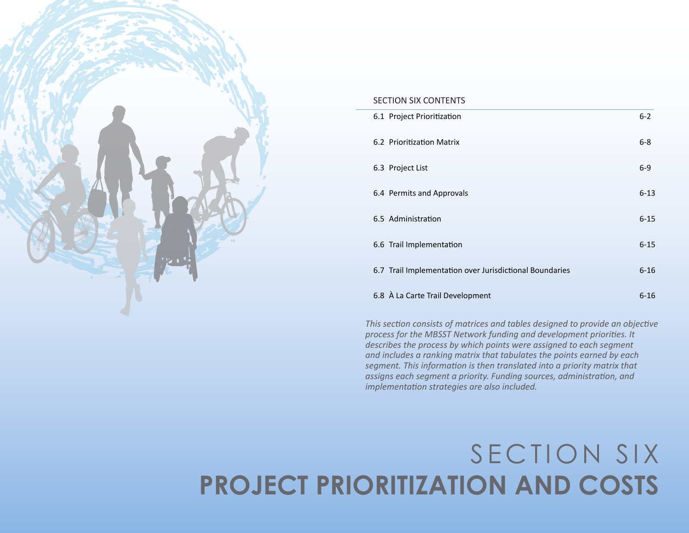

#### SECTION SIX CONTENTS

| 6.1 Project Prioritization                              | $6 - 2$  |
|---------------------------------------------------------|----------|
| 6.2 Prioritization Matrix                               | $6 - 8$  |
| 6.3 Project List                                        | $6-9$    |
| 6.4 Permits and Approvals                               | $6 - 13$ |
| 6.5 Administration                                      | $6 - 15$ |
| 6.6 Trail Implementation                                | $6 - 15$ |
| 6.7 Trail Implementation over Jurisdictional Boundaries | $6 - 16$ |
| 6.8 À La Carte Trail Development                        | $6 - 16$ |

*This section consists of matrices and tables designed to provide an objective process for the MBSST Network funding and development priorities. It describes the process by which points were assigned to each segment and includes a ranking matrix that tabulates the points earned by each segment. This information is then translated into a priority matrix that assigns each segment a priority. Funding sources, administration, and implementation strategies are also included.*

# SECTION SIX **PROJECT PRIORITIZATION AND COSTS**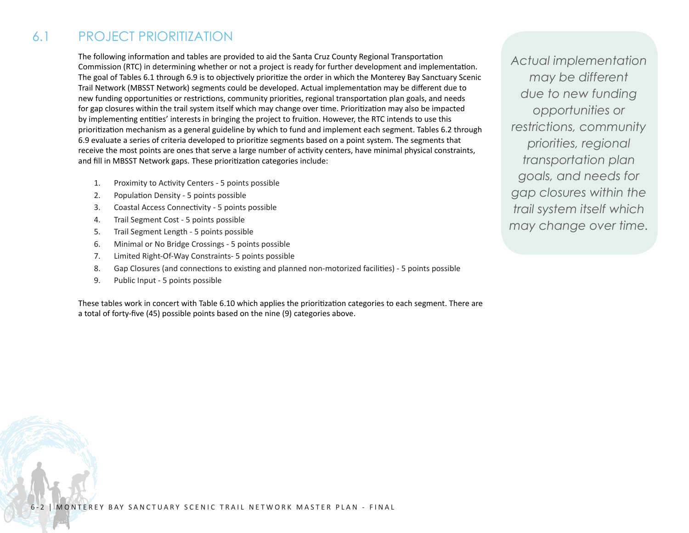# 6.1 PROJECT PRIORITIZATION

The following information and tables are provided to aid the Santa Cruz County Regional Transportation Commission (RTC) in determining whether or not a project is ready for further development and implementation. The goal of Tables 6.1 through 6.9 is to objectively prioritize the order in which the Monterey Bay Sanctuary Scenic Trail Network (MBSST Network) segments could be developed. Actual implementation may be different due to new funding opportunities or restrictions, community priorities, regional transportation plan goals, and needs for gap closures within the trail system itself which may change over time. Prioritization may also be impacted by implementing entities' interests in bringing the project to fruition. However, the RTC intends to use this prioritization mechanism as a general guideline by which to fund and implement each segment. Tables 6.2 through 6.9 evaluate a series of criteria developed to prioritize segments based on a point system. The segments that receive the most points are ones that serve a large number of activity centers, have minimal physical constraints, and fill in MBSST Network gaps. These prioritization categories include:

- 1. Proximity to Activity Centers 5 points possible
- 2. Population Density 5 points possible
- 3. Coastal Access Connectivity 5 points possible
- 4. Trail Segment Cost 5 points possible
- 5. Trail Segment Length 5 points possible
- 6. Minimal or No Bridge Crossings 5 points possible
- 7. Limited Right-Of-Way Constraints- 5 points possible
- 8. Gap Closures (and connections to existing and planned non-motorized facilities) 5 points possible
- 9. Public Input 5 points possible

These tables work in concert with Table 6.10 which applies the prioritization categories to each segment. There are a total of forty-five (45) possible points based on the nine (9) categories above.

*Actual implementation may be different due to new funding opportunities or restrictions, community priorities, regional transportation plan goals, and needs for gap closures within the trail system itself which may change over time.*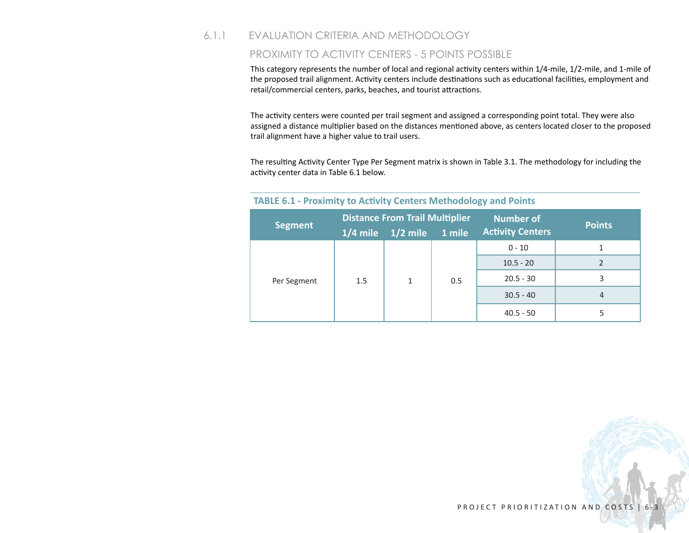# 6.1.1 EVALUATION CRITERIA AND METHODOLOGY

#### PROXIMITY TO ACTIVITY CENTERS - 5 POINTS POSSIBLE

This category represents the number of local and regional activity centers within 1/4-mile, 1/2-mile, and 1-mile of the proposed trail alignment. Activity centers include destinations such as educational facilities, employment and retail/commercial centers, parks, beaches, and tourist attractions.

The activity centers were counted per trail segment and assigned a corresponding point total. They were also assigned a distance multiplier based on the distances mentioned above, as centers located closer to the proposed trail alignment have a higher value to trail users.

The resulting Activity Center Type Per Segment matrix is shown in Table 3.1. The methodology for including the activity center data in Table 6.1 below.

|                |     | <b>Distance From Trail Multiplier</b> |     | <b>Number of</b>        | <b>Points</b> |  |  |
|----------------|-----|---------------------------------------|-----|-------------------------|---------------|--|--|
| <b>Segment</b> |     | $1/4$ mile $1/2$ mile $1$ mile        |     | <b>Activity Centers</b> |               |  |  |
|                |     | 1                                     |     | $0 - 10$                |               |  |  |
|                | 1.5 |                                       |     | $10.5 - 20$             |               |  |  |
| Per Segment    |     |                                       | 0.5 | $20.5 - 30$             | 3             |  |  |
|                |     |                                       |     | $30.5 - 40$             | 4             |  |  |
|                |     |                                       |     | $40.5 - 50$             |               |  |  |

#### **TABLE 6.1 - Proximity to Activity Centers Methodology and Points**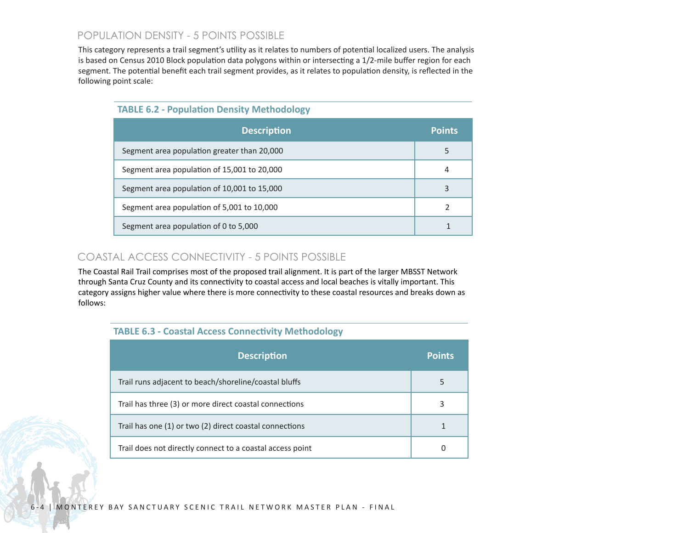# POPULATION DENSITY - 5 POINTS POSSIBLE

This category represents a trail segment's utility as it relates to numbers of potential localized users. The analysis is based on Census 2010 Block population data polygons within or intersecting a 1/2-mile buffer region for each segment. The potential benefit each trail segment provides, as it relates to population density, is reflected in the following point scale:

| <b>Description</b>                          | <b>Points</b> |
|---------------------------------------------|---------------|
| Segment area population greater than 20,000 | 5             |
| Segment area population of 15,001 to 20,000 | 4             |
| Segment area population of 10,001 to 15,000 |               |
| Segment area population of 5,001 to 10,000  | 2             |
| Segment area population of 0 to 5,000       |               |

# COASTAL ACCESS CONNECTIVITY - 5 POINTS POSSIBLE

The Coastal Rail Trail comprises most of the proposed trail alignment. It is part of the larger MBSST Network through Santa Cruz County and its connectivity to coastal access and local beaches is vitally important. This category assigns higher value where there is more connectivity to these coastal resources and breaks down as follows:

|  | <b>TABLE 6.3 - Coastal Access Connectivity Methodology</b> |
|--|------------------------------------------------------------|
|--|------------------------------------------------------------|

| <b>Description</b>                                        | <b>Points</b> |
|-----------------------------------------------------------|---------------|
| Trail runs adjacent to beach/shoreline/coastal bluffs     | 5             |
| Trail has three (3) or more direct coastal connections    | 3             |
| Trail has one (1) or two (2) direct coastal connections   |               |
| Trail does not directly connect to a coastal access point |               |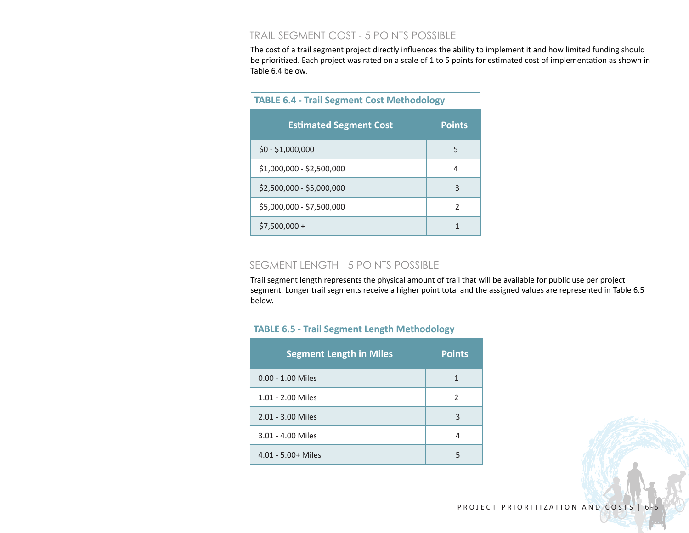### TRAIL SEGMENT COST - 5 POINTS POSSIBLE

The cost of a trail segment project directly influences the ability to implement it and how limited funding should be prioritized. Each project was rated on a scale of 1 to 5 points for estimated cost of implementation as shown in Table 6.4 below.

| <b>Estimated Segment Cost</b> | <b>Points</b> |
|-------------------------------|---------------|
| $$0 - $1,000,000$             | 5             |
| \$1,000,000 - \$2,500,000     | 4             |
| \$2,500,000 - \$5,000,000     | 3             |
| \$5,000,000 - \$7,500,000     | 2             |
| $$7,500,000 +$                |               |

#### **TABLE 6.4 - Trail Segment Cost Methodology**

#### SEGMENT LENGTH - 5 POINTS POSSIBLE

Trail segment length represents the physical amount of trail that will be available for public use per project segment. Longer trail segments receive a higher point total and the assigned values are represented in Table 6.5 below.

#### **TABLE 6.5 - Trail Segment Length Methodology**

| <b>Segment Length in Miles</b> | <b>Points</b> |
|--------------------------------|---------------|
| $0.00 - 1.00$ Miles            | 1             |
| 1.01 - 2.00 Miles              | $\mathcal{P}$ |
| 2.01 - 3.00 Miles              | 3             |
| 3.01 - 4.00 Miles              |               |
| $4.01 - 5.00 +$ Miles          | 5             |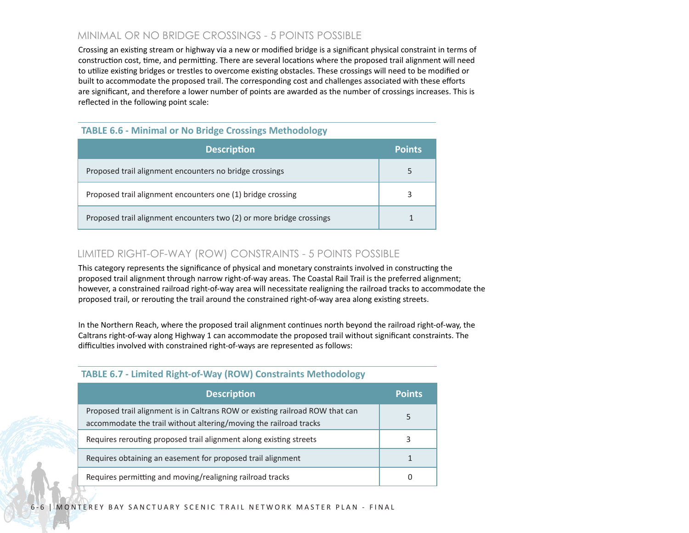# MINIMAL OR NO BRIDGE CROSSINGS - 5 POINTS POSSIBLE

Crossing an existing stream or highway via a new or modified bridge is a significant physical constraint in terms of construction cost, time, and permitting. There are several locations where the proposed trail alignment will need to utilize existing bridges or trestles to overcome existing obstacles. These crossings will need to be modified or built to accommodate the proposed trail. The corresponding cost and challenges associated with these efforts are significant, and therefore a lower number of points are awarded as the number of crossings increases. This is reflected in the following point scale:

#### **TABLE 6.6 - Minimal or No Bridge Crossings Methodology**

| <b>Description</b>                                                   | <b>Points</b> |
|----------------------------------------------------------------------|---------------|
| Proposed trail alignment encounters no bridge crossings              | 5             |
| Proposed trail alignment encounters one (1) bridge crossing          | 3             |
| Proposed trail alignment encounters two (2) or more bridge crossings |               |

### LIMITED RIGHT-OF-WAY (ROW) CONSTRAINTS - 5 POINTS POSSIBLE

This category represents the significance of physical and monetary constraints involved in constructing the proposed trail alignment through narrow right-of-way areas. The Coastal Rail Trail is the preferred alignment; however, a constrained railroad right-of-way area will necessitate realigning the railroad tracks to accommodate the proposed trail, or rerouting the trail around the constrained right-of-way area along existing streets.

In the Northern Reach, where the proposed trail alignment continues north beyond the railroad right-of-way, the Caltrans right-of-way along Highway 1 can accommodate the proposed trail without significant constraints. The difficulties involved with constrained right-of-ways are represented as follows:

| <b>Description</b>                                                                                                                                 | <b>Points</b> |
|----------------------------------------------------------------------------------------------------------------------------------------------------|---------------|
| Proposed trail alignment is in Caltrans ROW or existing railroad ROW that can<br>accommodate the trail without altering/moving the railroad tracks | 5             |
| Requires rerouting proposed trail alignment along existing streets                                                                                 |               |
| Requires obtaining an easement for proposed trail alignment                                                                                        |               |
| Requires permitting and moving/realigning railroad tracks                                                                                          |               |

#### **TABLE 6.7 - Limited Right-of-Way (ROW) Constraints Methodology**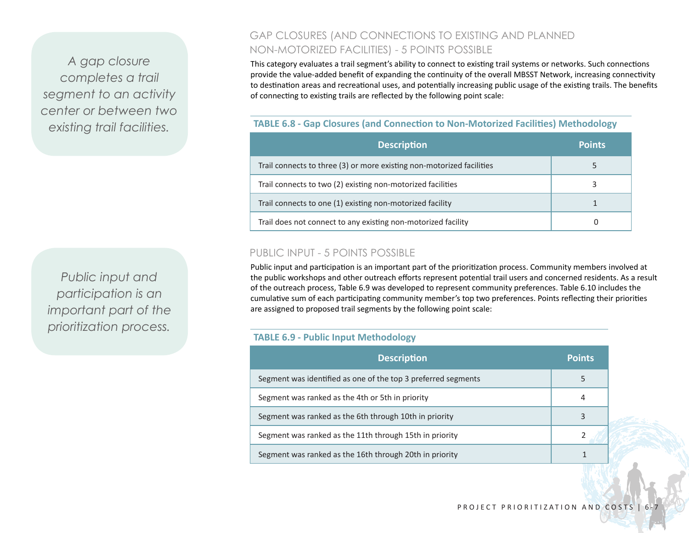*A gap closure completes a trail segment to an activity center or between two existing trail facilities.*

*Public input and participation is an important part of the prioritization process.*

# GAP CLOSURES (AND CONNECTIONS TO EXISTING AND PLANNED NON-MOTORIZED FACILITIES) - 5 POINTS POSSIBLE

This category evaluates a trail segment's ability to connect to existing trail systems or networks. Such connections provide the value-added benefit of expanding the continuity of the overall MBSST Network, increasing connectivity to destination areas and recreational uses, and potentially increasing public usage of the existing trails. The benefits of connecting to existing trails are reflected by the following point scale:

### **TABLE 6.8 - Gap Closures (and Connection to Non-Motorized Facilities) Methodology**

| <b>Description</b>                                                    | <b>Points</b> |
|-----------------------------------------------------------------------|---------------|
| Trail connects to three (3) or more existing non-motorized facilities |               |
| Trail connects to two (2) existing non-motorized facilities           |               |
| Trail connects to one (1) existing non-motorized facility             |               |
| Trail does not connect to any existing non-motorized facility         |               |

### PUBLIC INPUT - 5 POINTS POSSIBLE

Public input and participation is an important part of the prioritization process. Community members involved at the public workshops and other outreach efforts represent potential trail users and concerned residents. As a result of the outreach process, Table 6.9 was developed to represent community preferences. Table 6.10 includes the cumulative sum of each participating community member's top two preferences. Points reflecting their priorities are assigned to proposed trail segments by the following point scale:

#### **TABLE 6.9 - Public Input Methodology**

| <b>Description</b>                                            | <b>Points</b> |
|---------------------------------------------------------------|---------------|
| Segment was identified as one of the top 3 preferred segments | 5             |
| Segment was ranked as the 4th or 5th in priority              |               |
| Segment was ranked as the 6th through 10th in priority        | 3             |
| Segment was ranked as the 11th through 15th in priority       |               |
| Segment was ranked as the 16th through 20th in priority       |               |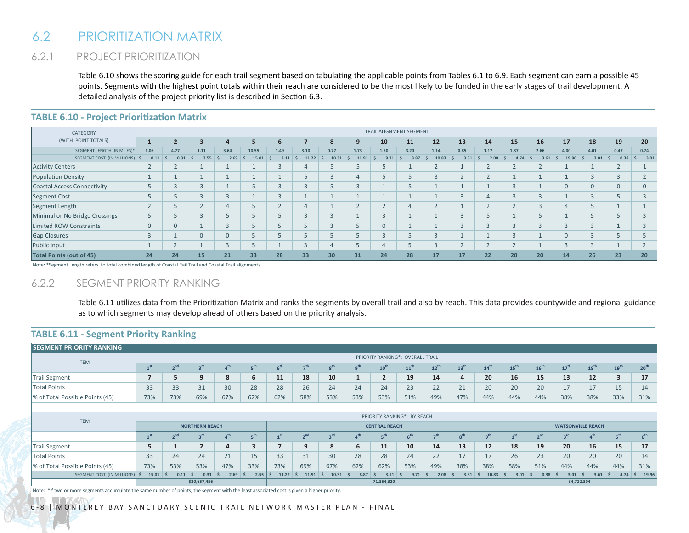# 6.2 PRIORITIZATION MATRIX

# 6.2.1 PROJECT PRIORITIZATION

Table 6.10 shows the scoring guide for each trail segment based on tabulating the applicable points from Tables 6.1 to 6.9. Each segment can earn a possible 45 points. Segments with the highest point totals within their reach are considered to be the most likely to be funded in the early stages of trail development. A detailed analysis of the project priority list is described in Section 6.3.

| CATEGORY                           | TRAIL ALIGNMENT SEGMENT       |            |                         |                  |       |            |       |        |                 |                     |      |                          |             |      |      |      |                |                          |                 |          |
|------------------------------------|-------------------------------|------------|-------------------------|------------------|-------|------------|-------|--------|-----------------|---------------------|------|--------------------------|-------------|------|------|------|----------------|--------------------------|-----------------|----------|
| (WITH POINT TOTALS)                |                               |            | $\overline{\mathbf{3}}$ | 4                | 5     | 6          |       | 8      | -9              | 10                  | 11   | 12                       | 13          | 14   | 15   | 16   | 17             | 18                       | 19              | 20       |
| SEGMENT LENGTH (IN MILES)*         | 1.06                          | 4.77       | 1.11                    | 3.64             | 10.55 | 1.49       | 3.10  | 0.77   | 1.73            | 1.50                | 3.20 | 1.14                     | 0.85        | 1.17 | 1.37 | 2.66 | 4.00           | 4.01                     | 0.47            | 0.74     |
| SEGMENT COST (IN MILLIONS) \$      | 0.11                          | 0.31<br>-S | 2.55                    | 2.69<br><b>S</b> | 15.01 | 3.11<br>-S | 11.22 | 10.31  | 11.91           | 9.71                | 8.87 | 10.83                    | 3.31<br>- 5 | 2.08 | 4.74 | 3.61 | 19.96          | 3.01                     | 0.38            | 3.01     |
| <b>Activity Centers</b>            | ∠                             | ∠          |                         |                  |       |            |       |        |                 |                     |      | ∠                        |             |      |      |      |                |                          | ∠               |          |
| <b>Population Density</b>          |                               |            |                         |                  |       |            |       |        |                 |                     |      | $\overline{\phantom{a}}$ |             |      |      |      |                | $\bigcap$<br>≺           | $\sqrt{2}$<br>3 |          |
| <b>Coastal Access Connectivity</b> | $\overline{a}$<br>b.          | $\sqrt{2}$ | 3                       |                  |       |            |       |        | $\sqrt{2}$<br>3 |                     | 5    |                          |             |      |      |      | $\Omega$       | $\Omega$                 | $\overline{0}$  | $\Omega$ |
| <b>Segment Cost</b>                |                               |            | $\sqrt{2}$              | $\sqrt{2}$       |       |            |       |        |                 |                     |      |                          |             |      |      |      |                | $\sim$                   |                 |          |
| Segment Length                     | $\sim$<br>ے                   |            | $\overline{ }$<br>ے     | $\overline{4}$   |       |            |       |        |                 | $\overline{ }$<br>∠ | 4    | $\overline{ }$<br>∠      |             |      |      |      |                |                          |                 |          |
| Minimal or No Bridge Crossings     | $\overline{\phantom{a}}$<br>Ь |            | $\sqrt{2}$              |                  |       |            |       | $\sim$ |                 | $\sim$<br>3         |      |                          |             |      |      |      |                |                          |                 |          |
| Limited ROW Constraints            | $\overline{0}$                | $\Omega$   |                         |                  |       |            |       |        |                 | $\overline{0}$      |      |                          |             |      |      |      | $\mathbf{R}$   | $\sqrt{2}$               |                 |          |
| <b>Gap Closures</b>                | $\sim$<br>đ.                  |            | 0                       | $\Omega$         |       |            |       |        |                 | 3                   |      | 3                        |             |      |      |      | $\overline{0}$ | $\sqrt{2}$               |                 |          |
| Public Input                       |                               |            |                         | $\sqrt{2}$       |       |            |       |        |                 | 4                   |      | 3                        |             |      |      |      | $\sqrt{2}$     | $\overline{\mathcal{L}}$ |                 |          |
| <b>Total Points (out of 45)</b>    | 24                            | 24         | 15                      | 21               | 33    | 28         | 33    | 30     | 31              | 24                  | 28   | 17                       | 17          | 22   | 20   | 20   | 14             | 26                       | 23              | 20       |

# **TABLE 6.10 - Project Prioritization Matrix PROJECT PRIORITIZATION MATRIX**

Note: \*Segment Length refers to total combined length of Coastal Rail Trail and Coastal Trail alignments.

#### 6.2.2 SEGMENT PRIORITY RANKING

Table 6.11 utilizes data from the Prioritization Matrix and ranks the segments by overall trail and also by reach. This data provides countywide and regional guidance as to which segments may develop ahead of others based on the priority analysis.

#### **TABLE 6.11 - Segment Priority Ranking**

| <b>SEGMENT PRIORITY RANKING</b> |                                  |                 |                 |                              |                      |                 |                 |                 |                 |                  |                          |                 |                  |                  |                  |                  |                  |                       |                  |                  |
|---------------------------------|----------------------------------|-----------------|-----------------|------------------------------|----------------------|-----------------|-----------------|-----------------|-----------------|------------------|--------------------------|-----------------|------------------|------------------|------------------|------------------|------------------|-----------------------|------------------|------------------|
| <b>ITEM</b>                     | PRIORITY RANKING*: OVERALL TRAIL |                 |                 |                              |                      |                 |                 |                 |                 |                  |                          |                 |                  |                  |                  |                  |                  |                       |                  |                  |
|                                 | 1 <sup>st</sup>                  | 2 <sup>nd</sup> | 3 <sup>rd</sup> | 4 <sup>th</sup>              | 5 <sup>th</sup>      | 6 <sup>th</sup> | 7 <sup>th</sup> | 8 <sup>th</sup> | q <sup>th</sup> | 10 <sup>th</sup> | 11 <sup>th</sup>         | $12^{th}$       | 13 <sup>th</sup> | 14 <sup>th</sup> | 15 <sup>th</sup> | 16 <sup>th</sup> | 17 <sup>th</sup> | 18 <sup>th</sup>      | 19 <sup>th</sup> | 20 <sup>th</sup> |
| Trail Segment                   |                                  | 5               | 9               | 8                            | 6                    | 11              | 18              | 10              |                 | $\overline{2}$   | 19                       | 14              | 4                | 20               | 16               | 15               | 13               | 12                    | 3                | 17               |
| <b>Total Points</b>             | 33                               | 33              | 31              | 30                           | 28                   | 28              | 26              | 24              | 24              | 24               | 23                       | 22              | 21               | 20               | 20               | 20               | 17               | 17                    | 15               | 14               |
| % of Total Possible Points (45) | 73%                              | 73%             | 69%             | 67%                          | 62%                  | 62%             | 58%             | 53%             | 53%             | 53%              | 51%                      | 49%             | 47%              | 44%              | 44%              | 44%              | 38%              | 38%                   | 33%              | 31%              |
|                                 |                                  |                 |                 |                              |                      |                 |                 |                 |                 |                  |                          |                 |                  |                  |                  |                  |                  |                       |                  |                  |
| <b>ITEM</b>                     | PRIORITY RANKING*: BY REACH      |                 |                 |                              |                      |                 |                 |                 |                 |                  |                          |                 |                  |                  |                  |                  |                  |                       |                  |                  |
|                                 | <b>NORTHERN REACH</b>            |                 |                 |                              | <b>CENTRAL REACH</b> |                 |                 |                 |                 |                  | <b>WATSONVILLE REACH</b> |                 |                  |                  |                  |                  |                  |                       |                  |                  |
|                                 | 1 <sup>st</sup>                  | 2 <sub>nd</sub> | 3 <sup>rd</sup> | $\boldsymbol{a}^{\text{th}}$ | 5 <sup>th</sup>      | $\mathbf{I}$ st | 2 <sup>nd</sup> | 3 <sup>rd</sup> | $\mathbf{A}$ th | 5 <sup>th</sup>  | 6 <sup>th</sup>          | 7 <sup>th</sup> | g <sup>th</sup>  | q <sup>th</sup>  | 1 <sub>st</sub>  | 2 <sup>nd</sup>  | $3^{\text{rd}}$  | $\Lambda^{\text{th}}$ | 5 <sup>th</sup>  | 6 <sup>th</sup>  |
| Trail Segment                   | 5                                |                 | $\overline{2}$  | 4                            | 3                    |                 | 9               | 8               | 6               | 11               | 10                       | 14              | 13               | 12               | 18               | 19               | 20               | 16                    | 15               | 17               |
| Total Points                    | 33                               | 24              | 24              | 21                           | 15                   | 33              | 31              | 30              | 28              | 28               | 24                       | 22              | 17               | 17               | 26               | 23               | 20               | 20                    | 20               | 14               |
| % of Total Possible Points (45) | 73%                              | 53%             | 53%             | 47%                          | 33%                  | 73%             | 69%             | 67%             | 62%             | 62%              | 53%                      | 49%             | 38%              | 38%              | 58%              | 51%              | 44%              | 44%                   | 44%              | 31%              |
| SEGMENT COST (IN MILLIONS)      | 15.01                            | 0.11            | 0.31            | 2.69                         | 2.55<br>-S           | 11.22           | 11.91           | 10.31<br>-5     | 8.87            | 3.11             | 9.71                     | 2.08            | 3.31             | 10.83<br>- 5     | 3.01             | 0.38             | 3.01             | 3.61                  | 4.74             | 19.96<br>5       |
|                                 | \$20,657,456                     |                 |                 |                              | 71,354,320           |                 |                 |                 |                 | 34,712,304       |                          |                 |                  |                  |                  |                  |                  |                       |                  |                  |

Note: \*If two or more segments accumulate the same number of points, the segment with the least associated cost is given a higher priority.

6-8 | MONTEREY BAY SANCTUARY SCENIC TRAIL NETWORK MASTER PLAN - FINAL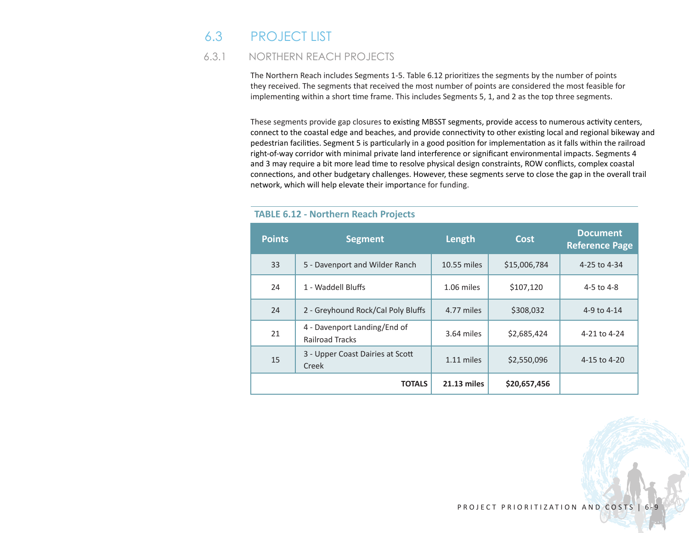# 6.3 PROJECT LIST

# 6.3.1 NORTHERN REACH PROJECTS

The Northern Reach includes Segments 1-5. Table 6.12 prioritizes the segments by the number of points they received. The segments that received the most number of points are considered the most feasible for implementing within a short time frame. This includes Segments 5, 1, and 2 as the top three segments.

These segments provide gap closures to existing MBSST segments, provide access to numerous activity centers, connect to the coastal edge and beaches, and provide connectivity to other existing local and regional bikeway and pedestrian facilities. Segment 5 is particularly in a good position for implementation as it falls within the railroad right-of-way corridor with minimal private land interference or significant environmental impacts. Segments 4 and 3 may require a bit more lead time to resolve physical design constraints, ROW conflicts, complex coastal connections, and other budgetary challenges. However, these segments serve to close the gap in the overall trail network, which will help elevate their importance for funding.

| <b>Points</b> | <b>Segment</b>                                         | Length             | <b>Cost</b>  | <b>Document</b><br><b>Reference Page</b> |  |  |
|---------------|--------------------------------------------------------|--------------------|--------------|------------------------------------------|--|--|
| 33            | 5 - Davenport and Wilder Ranch                         | 10.55 miles        | \$15,006,784 | 4-25 to 4-34                             |  |  |
| 24            | 1 - Waddell Bluffs                                     | 1.06 miles         | \$107,120    | 4-5 to 4-8                               |  |  |
| 24            | 2 - Greyhound Rock/Cal Poly Bluffs                     | 4.77 miles         | \$308,032    | 4-9 to 4-14                              |  |  |
| 21            | 4 - Davenport Landing/End of<br><b>Railroad Tracks</b> | 3.64 miles         | \$2,685,424  | 4-21 to 4-24                             |  |  |
| 15            | 3 - Upper Coast Dairies at Scott<br>Creek              | 1.11 miles         | \$2,550,096  | 4-15 to 4-20                             |  |  |
|               | <b>TOTALS</b>                                          | <b>21.13 miles</b> | \$20,657,456 |                                          |  |  |

#### **TABLE 6.12 - Northern Reach Projects**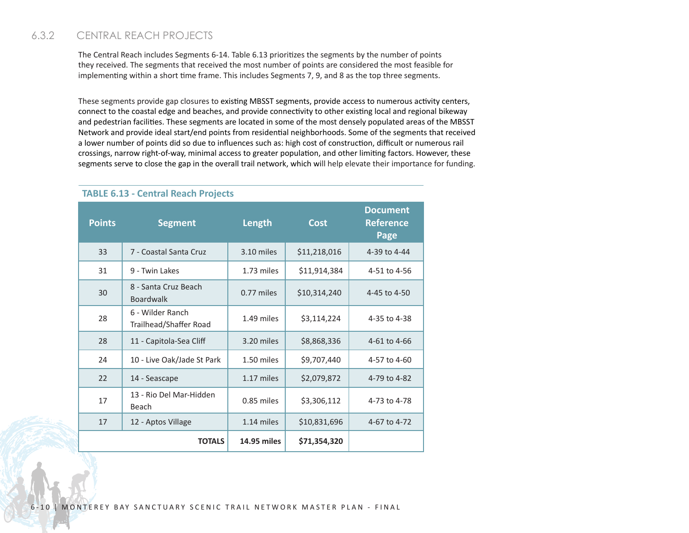# 6.3.2 CENTRAL REACH PROJECTS

The Central Reach includes Segments 6-14. Table 6.13 prioritizes the segments by the number of points they received. The segments that received the most number of points are considered the most feasible for implementing within a short time frame. This includes Segments 7, 9, and 8 as the top three segments.

These segments provide gap closures to existing MBSST segments, provide access to numerous activity centers, connect to the coastal edge and beaches, and provide connectivity to other existing local and regional bikeway and pedestrian facilities. These segments are located in some of the most densely populated areas of the MBSST Network and provide ideal start/end points from residential neighborhoods. Some of the segments that received a lower number of points did so due to influences such as: high cost of construction, difficult or numerous rail crossings, narrow right-of-way, minimal access to greater population, and other limiting factors. However, these segments serve to close the gap in the overall trail network, which will help elevate their importance for funding.

| <b>Points</b> | <b>Segment</b>                             | Length       | <b>Cost</b>  | <b>Document</b><br>Reference<br>Page |  |  |
|---------------|--------------------------------------------|--------------|--------------|--------------------------------------|--|--|
| 33            | 7 - Coastal Santa Cruz                     | 3.10 miles   | \$11,218,016 | 4-39 to 4-44                         |  |  |
| 31            | 9 - Twin Lakes                             | 1.73 miles   | \$11,914,384 | 4-51 to 4-56                         |  |  |
| 30            | 8 - Santa Cruz Beach<br><b>Boardwalk</b>   | $0.77$ miles | \$10,314,240 | 4-45 to 4-50                         |  |  |
| 28            | 6 - Wilder Ranch<br>Trailhead/Shaffer Road | 1.49 miles   | \$3,114,224  | 4-35 to 4-38                         |  |  |
| 28            | 11 - Capitola-Sea Cliff                    | 3.20 miles   | \$8,868,336  | 4-61 to 4-66                         |  |  |
| 24            | 10 - Live Oak/Jade St Park                 | 1.50 miles   | \$9,707,440  | 4-57 to 4-60                         |  |  |
| 22            | 14 - Seascape                              | 1.17 miles   | \$2,079,872  | 4-79 to 4-82                         |  |  |
| 17            | 13 - Rio Del Mar-Hidden<br>Beach           | 0.85 miles   | \$3,306,112  | 4-73 to 4-78                         |  |  |
| 17            | 12 - Aptos Village                         | 1.14 miles   | \$10,831,696 | 4-67 to 4-72                         |  |  |
|               | <b>TOTALS</b>                              | 14.95 miles  | \$71,354,320 |                                      |  |  |

#### **TABLE 6.13 - Central Reach Projects**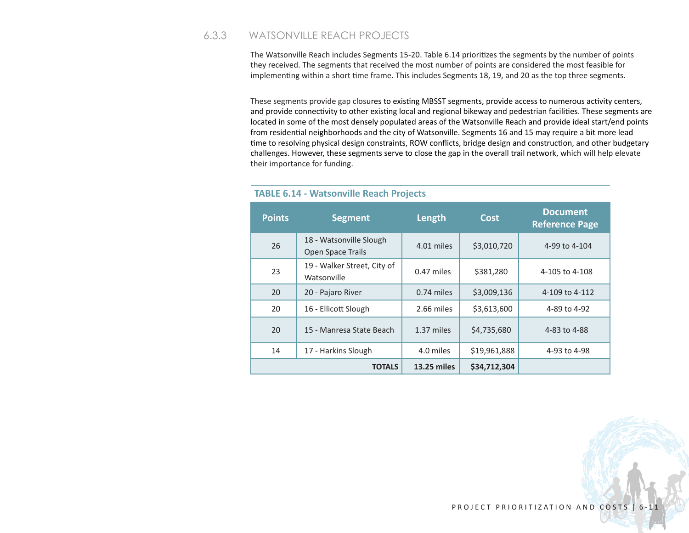### 6.3.3 WATSONVILLE REACH PROJECTS

The Watsonville Reach includes Segments 15-20. Table 6.14 prioritizes the segments by the number of points they received. The segments that received the most number of points are considered the most feasible for implementing within a short time frame. This includes Segments 18, 19, and 20 as the top three segments.

These segments provide gap closures to existing MBSST segments, provide access to numerous activity centers, and provide connectivity to other existing local and regional bikeway and pedestrian facilities. These segments are located in some of the most densely populated areas of the Watsonville Reach and provide ideal start/end points from residential neighborhoods and the city of Watsonville. Segments 16 and 15 may require a bit more lead time to resolving physical design constraints, ROW conflicts, bridge design and construction, and other budgetary challenges. However, these segments serve to close the gap in the overall trail network, which will help elevate their importance for funding.

| <b>Points</b> | <b>Segment</b>                               | Length             | Cost         | <b>Document</b><br><b>Reference Page</b> |  |
|---------------|----------------------------------------------|--------------------|--------------|------------------------------------------|--|
| 26            | 18 - Watsonville Slough<br>Open Space Trails | 4.01 miles         | \$3,010,720  | 4-99 to 4-104                            |  |
| 23            | 19 - Walker Street, City of<br>Watsonville   | 0.47 miles         | \$381,280    | 4-105 to 4-108                           |  |
| 20            | 20 - Pajaro River                            | 0.74 miles         | \$3,009,136  | 4-109 to 4-112                           |  |
| 20            | 16 - Ellicott Slough                         | 2.66 miles         | \$3,613,600  | 4-89 to 4-92                             |  |
| 20            | 15 - Manresa State Beach                     | 1.37 miles         | \$4,735,680  | 4-83 to 4-88                             |  |
| 14            | 17 - Harkins Slough                          | 4.0 miles          | \$19,961,888 | 4-93 to 4-98                             |  |
|               | <b>TOTALS</b>                                | <b>13.25 miles</b> | \$34,712,304 |                                          |  |

#### **TABLE 6.14 - Watsonville Reach Projects**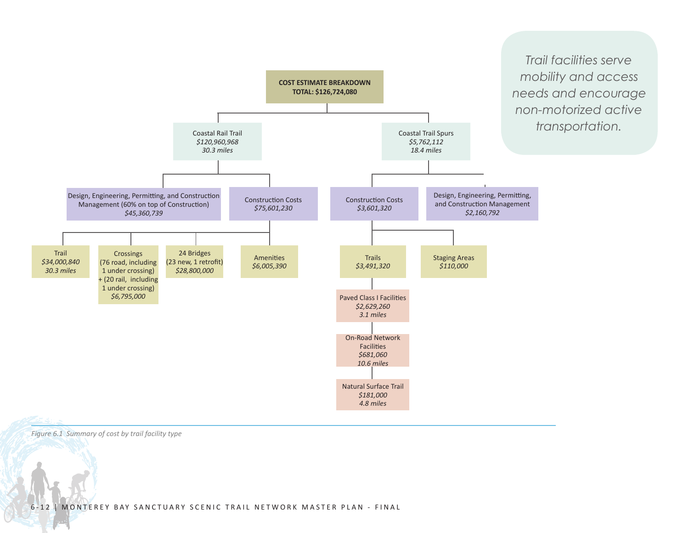

*Figure 6.1 Summary of cost by trail facility type*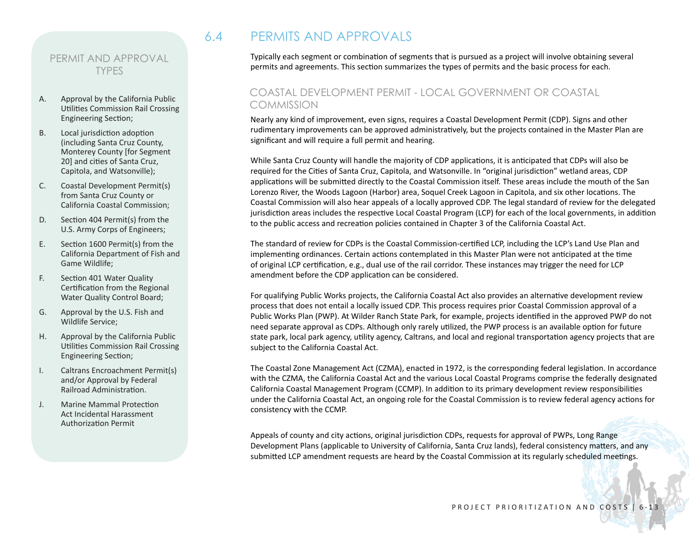#### PERMIT AND APPROVAL TYPES

- A. Approval by the California Public Utilities Commission Rail Crossing Engineering Section;
- B. Local jurisdiction adoption (including Santa Cruz County, Monterey County [for Segment 20] and cities of Santa Cruz, Capitola, and Watsonville);
- C. Coastal Development Permit(s) from Santa Cruz County or California Coastal Commission;
- D. Section 404 Permit(s) from the U.S. Army Corps of Engineers;
- E. Section 1600 Permit(s) from the California Department of Fish and Game Wildlife;
- F. Section 401 Water Quality Certification from the Regional Water Quality Control Board;
- G. Approval by the U.S. Fish and Wildlife Service;
- H. Approval by the California Public Utilities Commission Rail Crossing Engineering Section;
- I. Caltrans Encroachment Permit(s) and/or Approval by Federal Railroad Administration.
- J. Marine Mammal Protection Act Incidental Harassment Authorization Permit

# 6.4 PERMITS AND APPROVALS

Typically each segment or combination of segments that is pursued as a project will involve obtaining several permits and agreements. This section summarizes the types of permits and the basic process for each.

# COASTAL DEVELOPMENT PERMIT - LOCAL GOVERNMENT OR COASTAL **COMMISSION**

Nearly any kind of improvement, even signs, requires a Coastal Development Permit (CDP). Signs and other rudimentary improvements can be approved administratively, but the projects contained in the Master Plan are significant and will require a full permit and hearing.

While Santa Cruz County will handle the majority of CDP applications, it is anticipated that CDPs will also be required for the Cities of Santa Cruz, Capitola, and Watsonville. In "original jurisdiction" wetland areas, CDP applications will be submitted directly to the Coastal Commission itself. These areas include the mouth of the San Lorenzo River, the Woods Lagoon (Harbor) area, Soquel Creek Lagoon in Capitola, and six other locations. The Coastal Commission will also hear appeals of a locally approved CDP. The legal standard of review for the delegated jurisdiction areas includes the respective Local Coastal Program (LCP) for each of the local governments, in addition to the public access and recreation policies contained in Chapter 3 of the California Coastal Act.

The standard of review for CDPs is the Coastal Commission-certified LCP, including the LCP's Land Use Plan and implementing ordinances. Certain actions contemplated in this Master Plan were not anticipated at the time of original LCP certification, e.g., dual use of the rail corridor. These instances may trigger the need for LCP amendment before the CDP application can be considered.

For qualifying Public Works projects, the California Coastal Act also provides an alternative development review process that does not entail a locally issued CDP. This process requires prior Coastal Commission approval of a Public Works Plan (PWP). At Wilder Ranch State Park, for example, projects identified in the approved PWP do not need separate approval as CDPs. Although only rarely utilized, the PWP process is an available option for future state park, local park agency, utility agency, Caltrans, and local and regional transportation agency projects that are subject to the California Coastal Act.

The Coastal Zone Management Act (CZMA), enacted in 1972, is the corresponding federal legislation. In accordance with the CZMA, the California Coastal Act and the various Local Coastal Programs comprise the federally designated California Coastal Management Program (CCMP). In addition to its primary development review responsibilities under the California Coastal Act, an ongoing role for the Coastal Commission is to review federal agency actions for consistency with the CCMP.

Appeals of county and city actions, original jurisdiction CDPs, requests for approval of PWPs, Long Range Development Plans (applicable to University of California, Santa Cruz lands), federal consistency matters, and any submitted LCP amendment requests are heard by the Coastal Commission at its regularly scheduled meetings.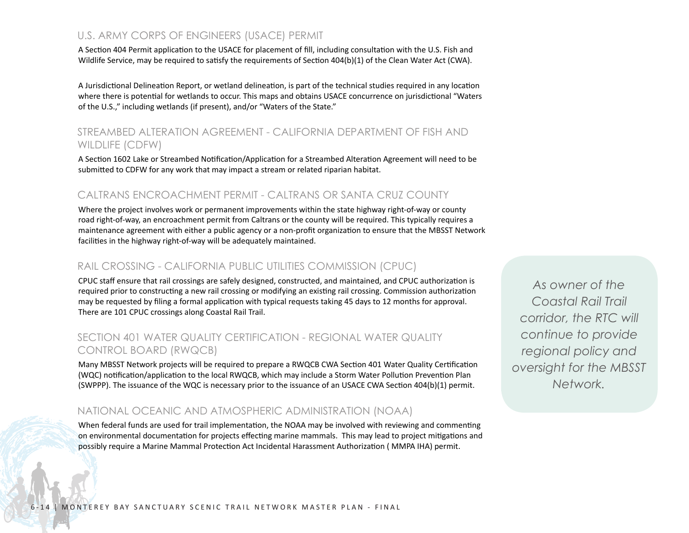### U.S. ARMY CORPS OF ENGINEERS (USACE) PERMIT

A Section 404 Permit application to the USACE for placement of fill, including consultation with the U.S. Fish and Wildlife Service, may be required to satisfy the requirements of Section 404(b)(1) of the Clean Water Act (CWA).

A Jurisdictional Delineation Report, or wetland delineation, is part of the technical studies required in any location where there is potential for wetlands to occur. This maps and obtains USACE concurrence on jurisdictional "Waters of the U.S.," including wetlands (if present), and/or "Waters of the State."

### STRFAMBED AI TERATION AGREEMENT - CALIFORNIA DEPARTMENT OF FISH AND WILDLIFE (CDFW)

A Section 1602 Lake or Streambed Notification/Application for a Streambed Alteration Agreement will need to be submitted to CDFW for any work that may impact a stream or related riparian habitat.

#### CALTRANS ENCROACHMENT PERMIT - CALTRANS OR SANTA CRUZ COUNTY

Where the project involves work or permanent improvements within the state highway right-of-way or county road right-of-way, an encroachment permit from Caltrans or the county will be required. This typically requires a maintenance agreement with either a public agency or a non-profit organization to ensure that the MBSST Network facilities in the highway right-of-way will be adequately maintained.

#### RAIL CROSSING - CALIFORNIA PUBLIC UTILITIES COMMISSION (CPUC)

CPUC staff ensure that rail crossings are safely designed, constructed, and maintained, and CPUC authorization is required prior to constructing a new rail crossing or modifying an existing rail crossing. Commission authorization may be requested by filing a formal application with typical requests taking 45 days to 12 months for approval. There are 101 CPUC crossings along Coastal Rail Trail.

#### SECTION 401 WATER QUALITY CERTIFICATION - REGIONAL WATER QUALITY CONTROL BOARD (RWQCB)

Many MBSST Network projects will be required to prepare a RWQCB CWA Section 401 Water Quality Certification (WQC) notification/application to the local RWQCB, which may include a Storm Water Pollution Prevention Plan (SWPPP). The issuance of the WQC is necessary prior to the issuance of an USACE CWA Section 404(b)(1) permit.

#### NATIONAL OCEANIC AND ATMOSPHERIC ADMINISTRATION (NOAA)

When federal funds are used for trail implementation, the NOAA may be involved with reviewing and commenting on environmental documentation for projects effecting marine mammals. This may lead to project mitigations and possibly require a Marine Mammal Protection Act Incidental Harassment Authorization ( MMPA IHA) permit.

*As owner of the Coastal Rail Trail corridor, the RTC will continue to provide regional policy and oversight for the MBSST Network.*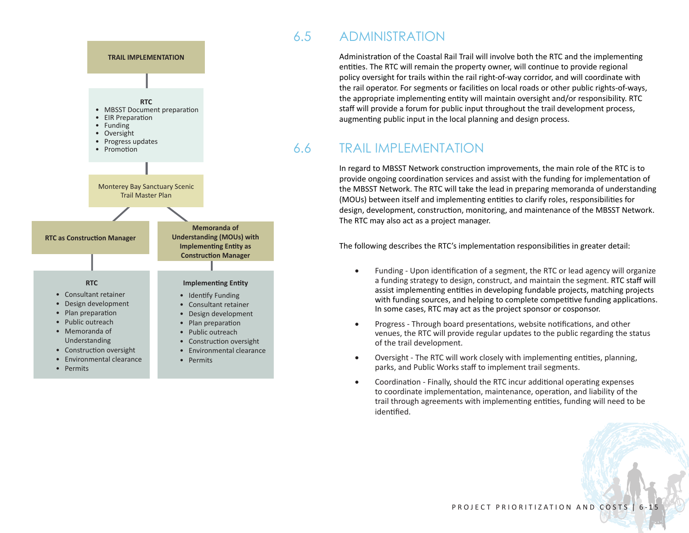

# 6.5 ADMINISTRATION

Administration of the Coastal Rail Trail will involve both the RTC and the implementing entities. The RTC will remain the property owner, will continue to provide regional policy oversight for trails within the rail right-of-way corridor, and will coordinate with the rail operator. For segments or facilities on local roads or other public rights-of-ways, the appropriate implementing entity will maintain oversight and/or responsibility. RTC staff will provide a forum for public input throughout the trail development process, augmenting public input in the local planning and design process.

# 6.6 TRAIL IMPLEMENTATION

In regard to MBSST Network construction improvements, the main role of the RTC is to provide ongoing coordination services and assist with the funding for implementation of the MBSST Network. The RTC will take the lead in preparing memoranda of understanding (MOUs) between itself and implementing entities to clarify roles, responsibilities for design, development, construction, monitoring, and maintenance of the MBSST Network. The RTC may also act as a project manager.

The following describes the RTC's implementation responsibilities in greater detail:

- Funding Upon identification of a segment, the RTC or lead agency will organize a funding strategy to design, construct, and maintain the segment. RTC staff will assist implementing entities in developing fundable projects, matching projects with funding sources, and helping to complete competitive funding applications. In some cases, RTC may act as the project sponsor or cosponsor.
- Progress Through board presentations, website notifications, and other venues, the RTC will provide regular updates to the public regarding the status of the trail development.
- • Oversight The RTC will work closely with implementing entities, planning, parks, and Public Works staff to implement trail segments.
- Coordination Finally, should the RTC incur additional operating expenses to coordinate implementation, maintenance, operation, and liability of the trail through agreements with implementing entities, funding will need to be identified.